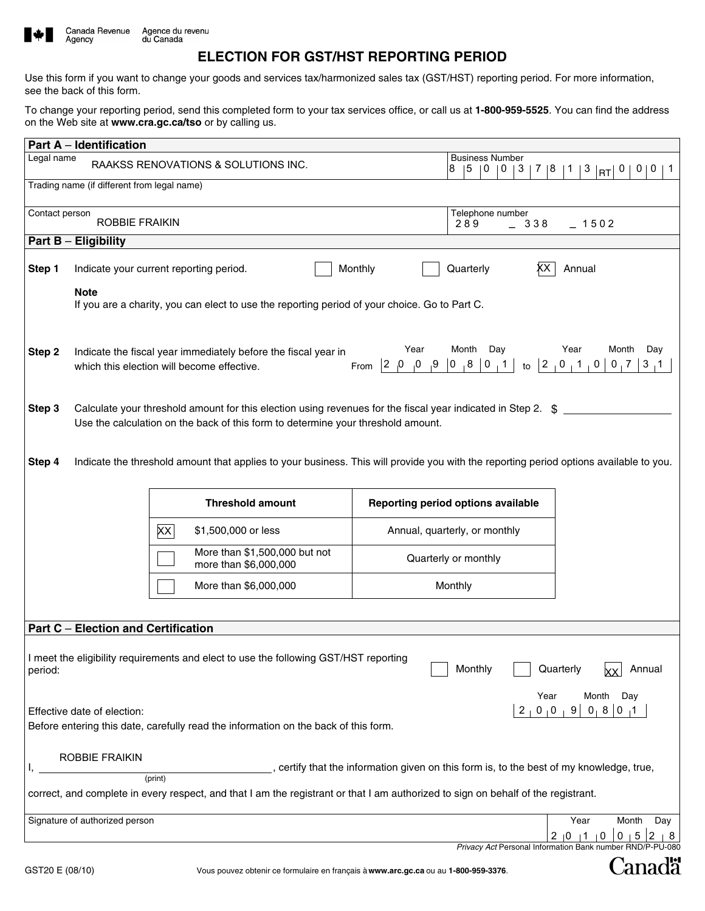

# **ELECTION FOR GST/HST REPORTING PERIOD**

Use this form if you want to change your goods and services tax/harmonized sales tax (GST/HST) reporting period. For more information, see the back of this form.

To change your reporting period, send this completed form to your tax services office, or call us at **1-800-959-5525**. You can find the address on the Web site at **www.cra.gc.ca/tso** or by calling us.

| <b>Part A - Identification</b>                                                                                                                                                                             |                                                                                                                                                                                                                                                                                                                                      |                                                                                     |                                    |                                                                     |  |  |  |  |
|------------------------------------------------------------------------------------------------------------------------------------------------------------------------------------------------------------|--------------------------------------------------------------------------------------------------------------------------------------------------------------------------------------------------------------------------------------------------------------------------------------------------------------------------------------|-------------------------------------------------------------------------------------|------------------------------------|---------------------------------------------------------------------|--|--|--|--|
| Legal name                                                                                                                                                                                                 | 7   8   1<br>3  RT <br>  0  <br> 0 <br>0 <sub>1</sub><br>$\mathbf{1}$                                                                                                                                                                                                                                                                |                                                                                     |                                    |                                                                     |  |  |  |  |
| 3<br>Trading name (if different from legal name)                                                                                                                                                           |                                                                                                                                                                                                                                                                                                                                      |                                                                                     |                                    |                                                                     |  |  |  |  |
| Telephone number<br>Contact person                                                                                                                                                                         |                                                                                                                                                                                                                                                                                                                                      |                                                                                     |                                    |                                                                     |  |  |  |  |
|                                                                                                                                                                                                            | $-1502$                                                                                                                                                                                                                                                                                                                              |                                                                                     |                                    |                                                                     |  |  |  |  |
| Part B - Eligibility                                                                                                                                                                                       |                                                                                                                                                                                                                                                                                                                                      |                                                                                     |                                    |                                                                     |  |  |  |  |
| Step 1                                                                                                                                                                                                     |                                                                                                                                                                                                                                                                                                                                      | Indicate your current reporting period.                                             | Monthly<br>Quarterly<br>xх         | Annual                                                              |  |  |  |  |
|                                                                                                                                                                                                            | <b>Note</b><br>If you are a charity, you can elect to use the reporting period of your choice. Go to Part C.                                                                                                                                                                                                                         |                                                                                     |                                    |                                                                     |  |  |  |  |
| Step 2                                                                                                                                                                                                     | Month<br>Day<br>Month<br>Year<br>Year<br>Day<br>Indicate the fiscal year immediately before the fiscal year in<br> 0, 8 <br> 0, 1 <br>$\begin{bmatrix} 2 & 0 & 1 & 0 \end{bmatrix}$<br>0 <sub>1</sub> 7<br>$ 2\rangle$<br>$\mathbf{0}_{\perp}$<br>$^{9}$<br>$3 \tcdot 1$<br>to<br>which this election will become effective.<br>From |                                                                                     |                                    |                                                                     |  |  |  |  |
| Calculate your threshold amount for this election using revenues for the fiscal year indicated in Step 2. \$<br>Step 3<br>Use the calculation on the back of this form to determine your threshold amount. |                                                                                                                                                                                                                                                                                                                                      |                                                                                     |                                    |                                                                     |  |  |  |  |
| Indicate the threshold amount that applies to your business. This will provide you with the reporting period options available to you.<br>Step 4                                                           |                                                                                                                                                                                                                                                                                                                                      |                                                                                     |                                    |                                                                     |  |  |  |  |
|                                                                                                                                                                                                            |                                                                                                                                                                                                                                                                                                                                      | <b>Threshold amount</b>                                                             | Reporting period options available |                                                                     |  |  |  |  |
|                                                                                                                                                                                                            |                                                                                                                                                                                                                                                                                                                                      | XX <br>\$1,500,000 or less                                                          | Annual, quarterly, or monthly      |                                                                     |  |  |  |  |
|                                                                                                                                                                                                            |                                                                                                                                                                                                                                                                                                                                      | More than \$1,500,000 but not<br>more than \$6,000,000                              | Quarterly or monthly               |                                                                     |  |  |  |  |
|                                                                                                                                                                                                            |                                                                                                                                                                                                                                                                                                                                      | More than \$6,000,000                                                               | Monthly                            |                                                                     |  |  |  |  |
| <b>Part C - Election and Certification</b>                                                                                                                                                                 |                                                                                                                                                                                                                                                                                                                                      |                                                                                     |                                    |                                                                     |  |  |  |  |
| I meet the eligibility requirements and elect to use the following GST/HST reporting<br>Monthly<br>Annual<br>Quarterly<br>period:                                                                          |                                                                                                                                                                                                                                                                                                                                      |                                                                                     |                                    |                                                                     |  |  |  |  |
|                                                                                                                                                                                                            | Month<br>Day<br>Year<br>$0, 8$ 0<br>0 <sub>1</sub> 0<br>9<br>2<br>Effective date of election:<br>Before entering this date, carefully read the information on the back of this form.                                                                                                                                                 |                                                                                     |                                    |                                                                     |  |  |  |  |
| ROBBIE FRAIKIN<br>certify that the information given on this form is, to the best of my knowledge, true,                                                                                                   |                                                                                                                                                                                                                                                                                                                                      |                                                                                     |                                    |                                                                     |  |  |  |  |
| (print)<br>correct, and complete in every respect, and that I am the registrant or that I am authorized to sign on behalf of the registrant.                                                               |                                                                                                                                                                                                                                                                                                                                      |                                                                                     |                                    |                                                                     |  |  |  |  |
| Signature of authorized person                                                                                                                                                                             | Year<br>Month<br>Day<br>2  0  1<br>-8<br>0<br>0                                                                                                                                                                                                                                                                                      |                                                                                     |                                    |                                                                     |  |  |  |  |
| GST20 E (08/10)                                                                                                                                                                                            |                                                                                                                                                                                                                                                                                                                                      | Vous pouvez obtenir ce formulaire en français à www.arc.gc.ca ou au 1-800-959-3376. |                                    | Privacy Act Personal Information Bank number RND/P-PU-080<br>Canadä |  |  |  |  |